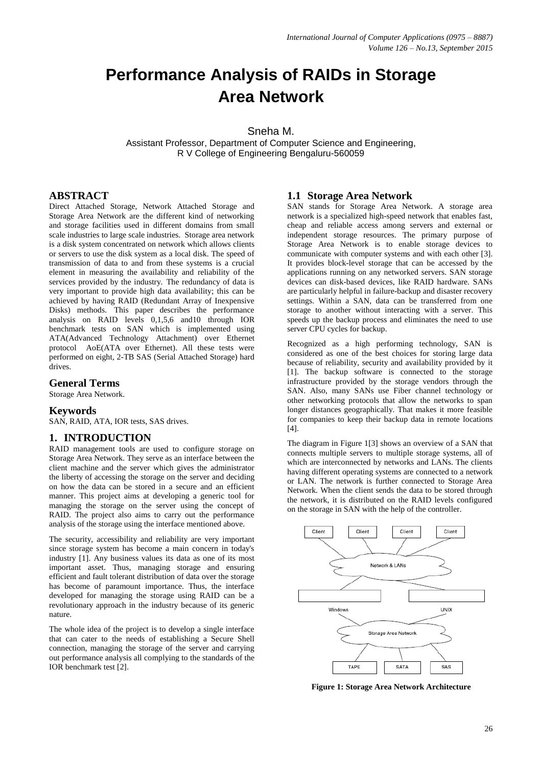# **Performance Analysis of RAIDs in Storage Area Network**

## Sneha M.

Assistant Professor, Department of Computer Science and Engineering, R V College of Engineering Bengaluru-560059

# **ABSTRACT**

Direct Attached Storage, Network Attached Storage and Storage Area Network are the different kind of networking and storage facilities used in different domains from small scale industries to large scale industries. Storage area network is a disk system concentrated on network which allows clients or servers to use the disk system as a local disk. The speed of transmission of data to and from these systems is a crucial element in measuring the availability and reliability of the services provided by the industry. The redundancy of data is very important to provide high data availability; this can be achieved by having RAID (Redundant Array of Inexpensive Disks) methods. This paper describes the performance analysis on RAID levels 0,1,5,6 and10 through IOR benchmark tests on SAN which is implemented using ATA(Advanced Technology Attachment) over Ethernet protocol AoE(ATA over Ethernet). All these tests were performed on eight, 2-TB SAS (Serial Attached Storage) hard drives.

#### **General Terms**

Storage Area Network.

## **Keywords**

SAN, RAID, ATA, IOR tests, SAS drives.

## **1. INTRODUCTION**

RAID management tools are used to configure storage on Storage Area Network. They serve as an interface between the client machine and the server which gives the administrator the liberty of accessing the storage on the server and deciding on how the data can be stored in a secure and an efficient manner. This project aims at developing a generic tool for managing the storage on the server using the concept of RAID. The project also aims to carry out the performance analysis of the storage using the interface mentioned above.

The security, accessibility and reliability are very important since storage system has become a main concern in today's industry [1]. Any business values its data as one of its most important asset. Thus, managing storage and ensuring efficient and fault tolerant distribution of data over the storage has become of paramount importance. Thus, the interface developed for managing the storage using RAID can be a revolutionary approach in the industry because of its generic nature.

The whole idea of the project is to develop a single interface that can cater to the needs of establishing a Secure Shell connection, managing the storage of the server and carrying out performance analysis all complying to the standards of the IOR benchmark test [2].

## **1.1 Storage Area Network**

SAN stands for Storage Area Network. A storage area network is a specialized high-speed network that enables fast, cheap and reliable access among servers and external or independent storage resources. The primary purpose of Storage Area Network is to enable storage devices to communicate with computer systems and with each other [3]. It provides block-level storage that can be accessed by the applications running on any networked servers. SAN storage devices can disk-based devices, like RAID hardware. SANs are particularly helpful in failure-backup and disaster recovery settings. Within a SAN, data can be transferred from one storage to another without interacting with a server. This speeds up the backup process and eliminates the need to use server CPU cycles for backup.

Recognized as a high performing technology, SAN is considered as one of the best choices for storing large data because of reliability, security and availability provided by it [1]. The backup software is connected to the storage infrastructure provided by the storage vendors through the SAN. Also, many SANs use Fiber channel technology or other networking protocols that allow the networks to span longer distances geographically. That makes it more feasible for companies to keep their backup data in remote locations [4].

The diagram in Figure 1[3] shows an overview of a SAN that connects multiple servers to multiple storage systems, all of which are interconnected by networks and LANs. The clients having different operating systems are connected to a network or LAN. The network is further connected to Storage Area Network. When the client sends the data to be stored through the network, it is distributed on the RAID levels configured on the storage in SAN with the help of the controller.



**Figure 1: Storage Area Network Architecture**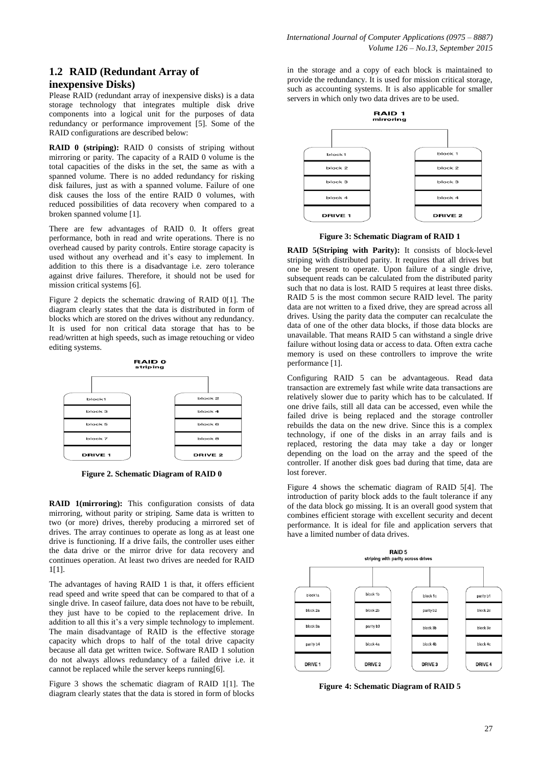# **1.2 RAID (Redundant Array of inexpensive Disks)**

Please RAID (redundant array of inexpensive disks) is a data storage technology that integrates multiple disk drive components into a logical unit for the purposes of data redundancy or performance improvement [5]. Some of the RAID configurations are described below:

**RAID 0 (striping):** RAID 0 consists of striping without mirroring or parity. The capacity of a RAID 0 volume is the total capacities of the disks in the set, the same as with a spanned volume. There is no added redundancy for risking disk failures, just as with a spanned volume. Failure of one disk causes the loss of the entire RAID 0 volumes, with reduced possibilities of data recovery when compared to a broken spanned volume [1].

There are few advantages of RAID 0. It offers great performance, both in read and write operations. There is no overhead caused by parity controls. Entire storage capacity is used without any overhead and it's easy to implement. In addition to this there is a disadvantage i.e. zero tolerance against drive failures. Therefore, it should not be used for mission critical systems [6].

Figure 2 depicts the schematic drawing of RAID 0[1]. The diagram clearly states that the data is distributed in form of blocks which are stored on the drives without any redundancy. It is used for non critical data storage that has to be read/written at high speeds, such as image retouching or video editing systems.



**Figure 2. Schematic Diagram of RAID 0**

**RAID 1(mirroring):** This configuration consists of data mirroring, without parity or striping. Same data is written to two (or more) drives, thereby producing a mirrored set of drives. The array continues to operate as long as at least one drive is functioning. If a drive fails, the controller uses either the data drive or the mirror drive for data recovery and continues operation. At least two drives are needed for RAID 1[1].

The advantages of having RAID 1 is that, it offers efficient read speed and write speed that can be compared to that of a single drive. In caseof failure, data does not have to be rebuilt, they just have to be copied to the replacement drive. In addition to all this it's a very simple technology to implement. The main disadvantage of RAID is the effective storage capacity which drops to half of the total drive capacity because all data get written twice. Software RAID 1 solution do not always allows redundancy of a failed drive i.e. it cannot be replaced while the server keeps running[6].

Figure 3 shows the schematic diagram of RAID 1[1]. The diagram clearly states that the data is stored in form of blocks in the storage and a copy of each block is maintained to provide the redundancy. It is used for mission critical storage, such as accounting systems. It is also applicable for smaller servers in which only two data drives are to be used.



**Figure 3: Schematic Diagram of RAID 1**

**RAID 5(Striping with Parity):** It consists of block-level striping with distributed parity. It requires that all drives but one be present to operate. Upon failure of a single drive, subsequent reads can be calculated from the distributed parity such that no data is lost. RAID 5 requires at least three disks. RAID 5 is the most common secure RAID level. The parity data are not written to a fixed drive, they are spread across all drives. Using the parity data the computer can recalculate the data of one of the other data blocks, if those data blocks are unavailable. That means RAID 5 can withstand a single drive failure without losing data or access to data. Often extra cache memory is used on these controllers to improve the write performance [1].

Configuring RAID 5 can be advantageous. Read data transaction are extremely fast while write data transactions are relatively slower due to parity which has to be calculated. If one drive fails, still all data can be accessed, even while the failed drive is being replaced and the storage controller rebuilds the data on the new drive. Since this is a complex technology, if one of the disks in an array fails and is replaced, restoring the data may take a day or longer depending on the load on the array and the speed of the controller. If another disk goes bad during that time, data are lost forever.

Figure 4 shows the schematic diagram of RAID 5[4]. The introduction of parity block adds to the fault tolerance if any of the data block go missing. It is an overall good system that combines efficient storage with excellent security and decent performance. It is ideal for file and application servers that have a limited number of data drives.



**Figure 4: Schematic Diagram of RAID 5**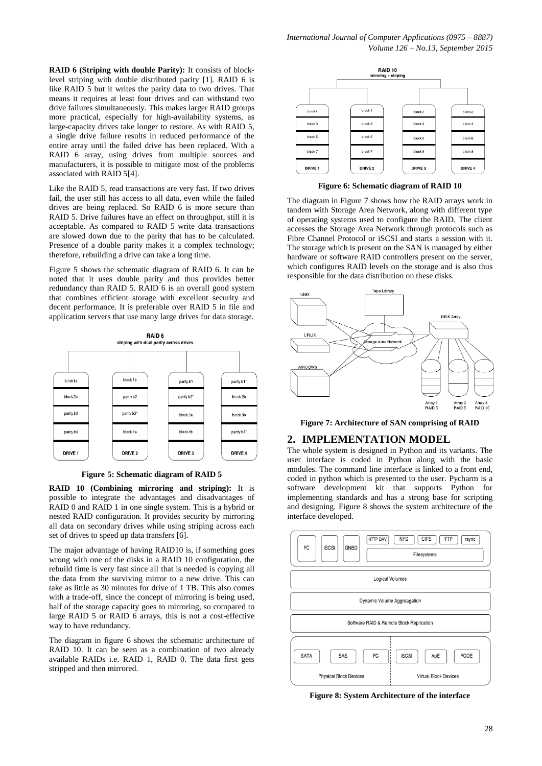*International Journal of Computer Applications (0975 – 8887) Volume 126 – No.13, September 2015*

**RAID 6 (Striping with double Parity):** It consists of blocklevel striping with double distributed parity [1]. RAID 6 is like RAID 5 but it writes the parity data to two drives. That means it requires at least four drives and can withstand two drive failures simultaneously. This makes larger RAID groups more practical, especially for high-availability systems, as large-capacity drives take longer to restore. As with RAID 5, a single drive failure results in reduced performance of the entire array until the failed drive has been replaced. With a RAID 6 array, using drives from multiple sources and manufacturers, it is possible to mitigate most of the problems associated with RAID 5[4].

Like the RAID 5, read transactions are very fast. If two drives fail, the user still has access to all data, even while the failed drives are being replaced. So RAID 6 is more secure than RAID 5. Drive failures have an effect on throughput, still it is acceptable. As compared to RAID 5 write data transactions are slowed down due to the parity that has to be calculated. Presence of a double parity makes it a complex technology: therefore, rebuilding a drive can take a long time.

Figure 5 shows the schematic diagram of RAID 6. It can be noted that it uses double parity and thus provides better redundancy than RAID 5. RAID 6 is an overall good system that combines efficient storage with excellent security and decent performance. It is preferable over RAID 5 in file and application servers that use many large drives for data storage.



**Figure 5: Schematic diagram of RAID 5**

**RAID 10 (Combining mirroring and striping):** It is possible to integrate the advantages and disadvantages of RAID 0 and RAID 1 in one single system. This is a hybrid or nested RAID configuration. It provides security by mirroring all data on secondary drives while using striping across each set of drives to speed up data transfers [6].

The major advantage of having RAID10 is, if something goes wrong with one of the disks in a RAID 10 configuration, the rebuild time is very fast since all that is needed is copying all the data from the surviving mirror to a new drive. This can take as little as 30 minutes for drive of 1 TB. This also comes with a trade-off, since the concept of mirroring is being used, half of the storage capacity goes to mirroring, so compared to large RAID 5 or RAID 6 arrays, this is not a cost-effective way to have redundancy.

The diagram in figure 6 shows the schematic architecture of RAID 10. It can be seen as a combination of two already available RAIDs i.e. RAID 1, RAID 0. The data first gets stripped and then mirrored.



**Figure 6: Schematic diagram of RAID 10**

The diagram in Figure 7 shows how the RAID arrays work in tandem with Storage Area Network, along with different type of operating systems used to configure the RAID. The client accesses the Storage Area Network through protocols such as Fibre Channel Protocol or iSCSI and starts a session with it. The storage which is present on the SAN is managed by either hardware or software RAID controllers present on the server, which configures RAID levels on the storage and is also thus responsible for the data distribution on these disks.



**Figure 7: Architecture of SAN comprising of RAID**

#### **2. IMPLEMENTATION MODEL**

The whole system is designed in Python and its variants. The user interface is coded in Python along with the basic modules. The command line interface is linked to a front end, coded in python which is presented to the user. Pycharm is a software development kit that supports Python for implementing standards and has a strong base for scripting and designing. Figure 8 shows the system architecture of the interface developed.



**Figure 8: System Architecture of the interface**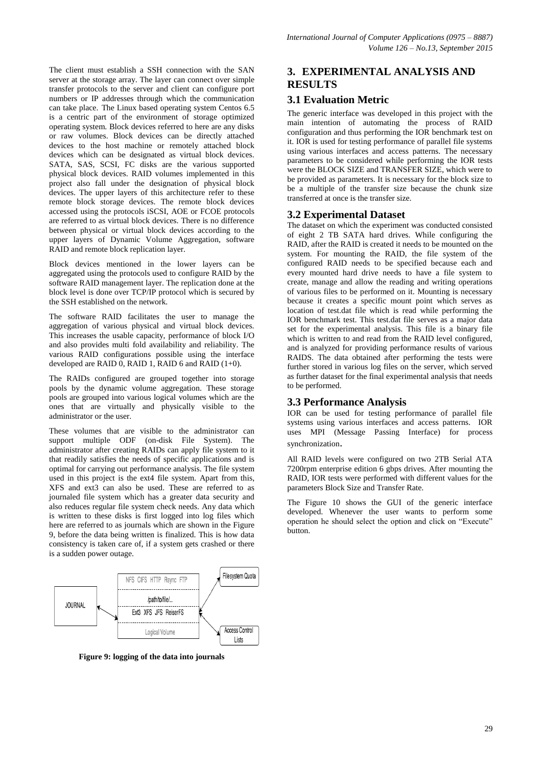The client must establish a SSH connection with the SAN server at the storage array. The layer can connect over simple transfer protocols to the server and client can configure port numbers or IP addresses through which the communication can take place. The Linux based operating system Centos 6.5 is a centric part of the environment of storage optimized operating system. Block devices referred to here are any disks or raw volumes. Block devices can be directly attached devices to the host machine or remotely attached block devices which can be designated as virtual block devices. SATA, SAS, SCSI, FC disks are the various supported physical block devices. RAID volumes implemented in this project also fall under the designation of physical block devices. The upper layers of this architecture refer to these remote block storage devices. The remote block devices accessed using the protocols iSCSI, AOE or FCOE protocols are referred to as virtual block devices. There is no difference between physical or virtual block devices according to the upper layers of Dynamic Volume Aggregation, software RAID and remote block replication layer.

Block devices mentioned in the lower layers can be aggregated using the protocols used to configure RAID by the software RAID management layer. The replication done at the block level is done over TCP/IP protocol which is secured by the SSH established on the network.

The software RAID facilitates the user to manage the aggregation of various physical and virtual block devices. This increases the usable capacity, performance of block I/O and also provides multi fold availability and reliability. The various RAID configurations possible using the interface developed are RAID  $\tilde{0}$ , RAID 1, RAID 6 and RAID (1+0).

The RAIDs configured are grouped together into storage pools by the dynamic volume aggregation. These storage pools are grouped into various logical volumes which are the ones that are virtually and physically visible to the administrator or the user.

These volumes that are visible to the administrator can support multiple ODF (on-disk File System). The administrator after creating RAIDs can apply file system to it that readily satisfies the needs of specific applications and is optimal for carrying out performance analysis. The file system used in this project is the ext4 file system. Apart from this, XFS and ext3 can also be used. These are referred to as journaled file system which has a greater data security and also reduces regular file system check needs. Any data which is written to these disks is first logged into log files which here are referred to as journals which are shown in the Figure 9, before the data being written is finalized. This is how data consistency is taken care of, if a system gets crashed or there is a sudden power outage.



**Figure 9: logging of the data into journals**

# **3. EXPERIMENTAL ANALYSIS AND RESULTS**

# **3.1 Evaluation Metric**

The generic interface was developed in this project with the main intention of automating the process of RAID configuration and thus performing the IOR benchmark test on it. IOR is used for testing performance of parallel file systems using various interfaces and access patterns. The necessary parameters to be considered while performing the IOR tests were the BLOCK SIZE and TRANSFER SIZE, which were to be provided as parameters. It is necessary for the block size to be a multiple of the transfer size because the chunk size transferred at once is the transfer size.

# **3.2 Experimental Dataset**

The dataset on which the experiment was conducted consisted of eight 2 TB SATA hard drives. While configuring the RAID, after the RAID is created it needs to be mounted on the system. For mounting the RAID, the file system of the configured RAID needs to be specified because each and every mounted hard drive needs to have a file system to create, manage and allow the reading and writing operations of various files to be performed on it. Mounting is necessary because it creates a specific mount point which serves as location of test.dat file which is read while performing the IOR benchmark test. This test.dat file serves as a major data set for the experimental analysis. This file is a binary file which is written to and read from the RAID level configured, and is analyzed for providing performance results of various RAIDS. The data obtained after performing the tests were further stored in various log files on the server, which served as further dataset for the final experimental analysis that needs to be performed.

# **3.3 Performance Analysis**

IOR can be used for testing performance of parallel file systems using various interfaces and access patterns. IOR uses MPI (Message Passing Interface) for process synchronization.

All RAID levels were configured on two 2TB Serial ATA 7200rpm enterprise edition 6 gbps drives. After mounting the RAID, IOR tests were performed with different values for the parameters Block Size and Transfer Rate.

The Figure 10 shows the GUI of the generic interface developed. Whenever the user wants to perform some operation he should select the option and click on "Execute" button.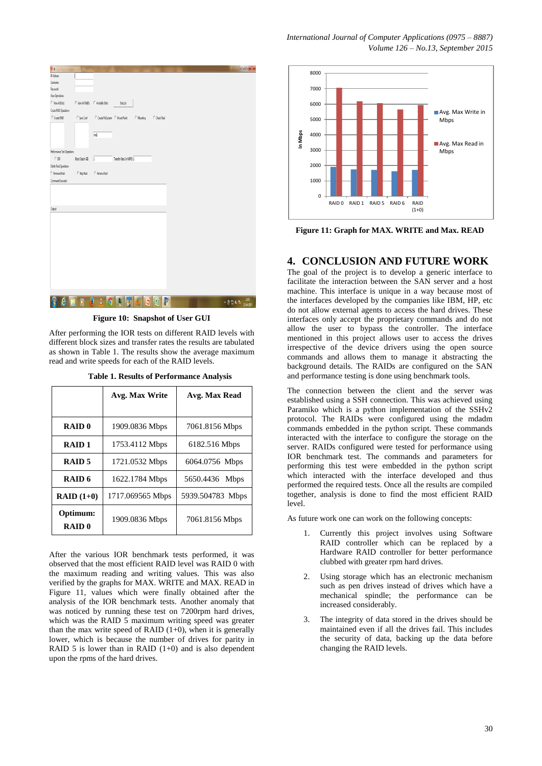| Pin                           |                      |                                             |                           |            |             |  |                 | $= 0.1$ |
|-------------------------------|----------------------|---------------------------------------------|---------------------------|------------|-------------|--|-----------------|---------|
| P Address                     |                      |                                             |                           |            |             |  |                 |         |
| Usemanne                      |                      |                                             |                           |            |             |  |                 |         |
| Password                      |                      |                                             |                           |            |             |  |                 |         |
| <b><i>View Operations</i></b> |                      |                                             |                           |            |             |  |                 |         |
| <sup>/</sup> Vev Al Dals      |                      | C View All RADS C Available Disks           | Excute                    |            |             |  |                 |         |
| Create RAID Operations        |                      |                                             |                           |            |             |  |                 |         |
| C Create RAID                 | $C$ Save Conf        | $\cap$ Create FileSystem $\cap$ Mount Point |                           | C Mounting | C CheckRaid |  |                 |         |
|                               |                      | $n\tilde{a}$                                |                           |            |             |  |                 |         |
|                               |                      |                                             |                           |            |             |  |                 |         |
| Performance Test Operations   |                      |                                             |                           |            |             |  |                 |         |
| $\cap$ IOR                    | Block Size(in Gil) 1 |                                             | Transfer Rate (in MEPS) 1 |            |             |  |                 |         |
| Delete Raid Operations        |                      |                                             |                           |            |             |  |                 |         |
| C Unmount Raid                | $C$ Step Raid        | C Remove Raid                               |                           |            |             |  |                 |         |
| Command Executed              |                      |                                             |                           |            |             |  |                 |         |
| Output                        |                      |                                             |                           |            |             |  |                 |         |
|                               |                      |                                             |                           |            |             |  |                 |         |
|                               |                      |                                             |                           |            |             |  |                 |         |
|                               |                      |                                             |                           |            |             |  |                 |         |
|                               |                      |                                             |                           |            |             |  |                 |         |
|                               |                      |                                             |                           |            |             |  |                 |         |
| ê                             | D                    | A<br>$\bullet$<br>何                         | İ.<br>N                   | ø          | P<br>E      |  | $.904h$ $^{20}$ |         |
|                               |                      |                                             |                           |            |             |  |                 |         |

**Figure 10: Snapshot of User GUI**

After performing the IOR tests on different RAID levels with different block sizes and transfer rates the results are tabulated as shown in Table 1. The results show the average maximum read and write speeds for each of the RAID levels.

|                          | Avg. Max Write   | Avg. Max Read    |  |  |
|--------------------------|------------------|------------------|--|--|
| <b>RAID0</b>             | 1909.0836 Mbps   | 7061.8156 Mbps   |  |  |
| RAID <sub>1</sub>        | 1753.4112 Mbps   | 6182.516 Mbps    |  |  |
| RAID 5                   | 1721.0532 Mbps   | 6064.0756 Mbps   |  |  |
| RAID 6                   | 1622.1784 Mbps   | 5650.4436 Mbps   |  |  |
| $RAID(1+0)$              | 1717.069565 Mbps | 5939.504783 Mbps |  |  |
| Optimum:<br><b>RAID0</b> | 1909.0836 Mbps   | 7061.8156 Mbps   |  |  |

After the various IOR benchmark tests performed, it was observed that the most efficient RAID level was RAID 0 with the maximum reading and writing values. This was also verified by the graphs for MAX. WRITE and MAX. READ in Figure 11, values which were finally obtained after the analysis of the IOR benchmark tests. Another anomaly that was noticed by running these test on 7200rpm hard drives, which was the RAID 5 maximum writing speed was greater than the max write speed of RAID  $(1+0)$ , when it is generally lower, which is because the number of drives for parity in RAID 5 is lower than in RAID  $(1+0)$  and is also dependent upon the rpms of the hard drives.



**Figure 11: Graph for MAX. WRITE and Max. READ**

## **4. CONCLUSION AND FUTURE WORK**

The goal of the project is to develop a generic interface to facilitate the interaction between the SAN server and a host machine. This interface is unique in a way because most of the interfaces developed by the companies like IBM, HP, etc do not allow external agents to access the hard drives. These interfaces only accept the proprietary commands and do not allow the user to bypass the controller. The interface mentioned in this project allows user to access the drives irrespective of the device drivers using the open source commands and allows them to manage it abstracting the background details. The RAIDs are configured on the SAN and performance testing is done using benchmark tools.

The connection between the client and the server was established using a SSH connection. This was achieved using Paramiko which is a python implementation of the SSHv2 protocol. The RAIDs were configured using the mdadm commands embedded in the python script. These commands interacted with the interface to configure the storage on the server. RAIDs configured were tested for performance using IOR benchmark test. The commands and parameters for performing this test were embedded in the python script which interacted with the interface developed and thus performed the required tests. Once all the results are compiled together, analysis is done to find the most efficient RAID level.

As future work one can work on the following concepts:

- 1. Currently this project involves using Software RAID controller which can be replaced by a Hardware RAID controller for better performance clubbed with greater rpm hard drives.
- 2. Using storage which has an electronic mechanism such as pen drives instead of drives which have a mechanical spindle; the performance can be increased considerably.
- 3. The integrity of data stored in the drives should be maintained even if all the drives fail. This includes the security of data, backing up the data before changing the RAID levels.